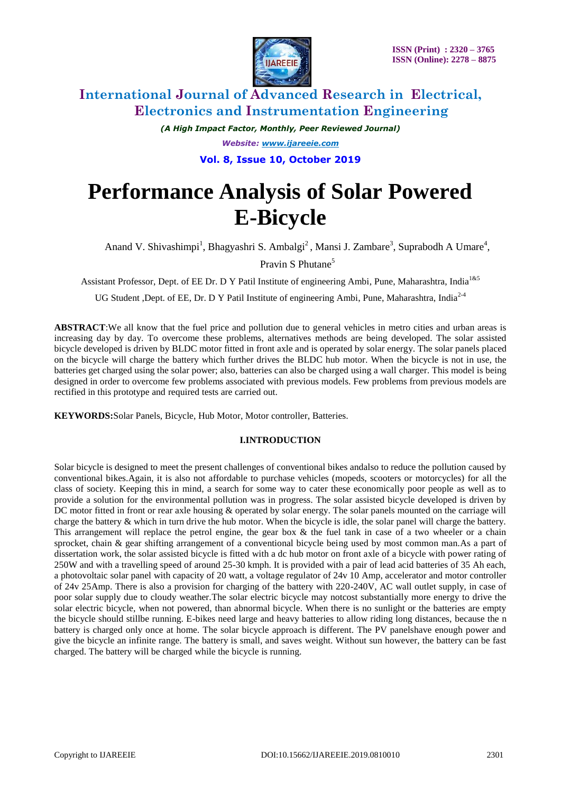

*(A High Impact Factor, Monthly, Peer Reviewed Journal) Website: [www.ijareeie.com](http://www.ijareeie.com/)*

**Vol. 8, Issue 10, October 2019**

# **Performance Analysis of Solar Powered E-Bicycle**

Anand V. Shivashimpi<sup>1</sup>, Bhagyashri S. Ambalgi<sup>2</sup>, Mansi J. Zambare<sup>3</sup>, Suprabodh A Umare<sup>4</sup>,

Pravin S Phutane<sup>5</sup>

Assistant Professor, Dept. of EE Dr. D Y Patil Institute of engineering Ambi, Pune, Maharashtra, India<sup>1&5</sup>

UG Student ,Dept. of EE, Dr. D Y Patil Institute of engineering Ambi, Pune, Maharashtra, India<sup>2-4</sup>

**ABSTRACT**:We all know that the fuel price and pollution due to general vehicles in metro cities and urban areas is increasing day by day. To overcome these problems, alternatives methods are being developed. The solar assisted bicycle developed is driven by BLDC motor fitted in front axle and is operated by solar energy. The solar panels placed on the bicycle will charge the battery which further drives the BLDC hub motor. When the bicycle is not in use, the batteries get charged using the solar power; also, batteries can also be charged using a wall charger. This model is being designed in order to overcome few problems associated with previous models. Few problems from previous models are rectified in this prototype and required tests are carried out.

**KEYWORDS:**Solar Panels, Bicycle, Hub Motor, Motor controller, Batteries.

# **I.INTRODUCTION**

Solar bicycle is designed to meet the present challenges of conventional bikes andalso to reduce the pollution caused by conventional bikes.Again, it is also not affordable to purchase vehicles (mopeds, scooters or motorcycles) for all the class of society. Keeping this in mind, a search for some way to cater these economically poor people as well as to provide a solution for the environmental pollution was in progress. The solar assisted bicycle developed is driven by DC motor fitted in front or rear axle housing & operated by solar energy. The solar panels mounted on the carriage will charge the battery & which in turn drive the hub motor. When the bicycle is idle, the solar panel will charge the battery. This arrangement will replace the petrol engine, the gear box  $\&$  the fuel tank in case of a two wheeler or a chain sprocket, chain & gear shifting arrangement of a conventional bicycle being used by most common man.As a part of dissertation work, the solar assisted bicycle is fitted with a dc hub motor on front axle of a bicycle with power rating of 250W and with a travelling speed of around 25-30 kmph. It is provided with a pair of lead acid batteries of 35 Ah each, a photovoltaic solar panel with capacity of 20 watt, a voltage regulator of 24v 10 Amp, accelerator and motor controller of 24v 25Amp. There is also a provision for charging of the battery with 220-240V, AC wall outlet supply, in case of poor solar supply due to cloudy weather.The solar electric bicycle may notcost substantially more energy to drive the solar electric bicycle, when not powered, than abnormal bicycle. When there is no sunlight or the batteries are empty the bicycle should stillbe running. E-bikes need large and heavy batteries to allow riding long distances, because the n battery is charged only once at home. The solar bicycle approach is different. The PV panelshave enough power and give the bicycle an infinite range. The battery is small, and saves weight. Without sun however, the battery can be fast charged. The battery will be charged while the bicycle is running.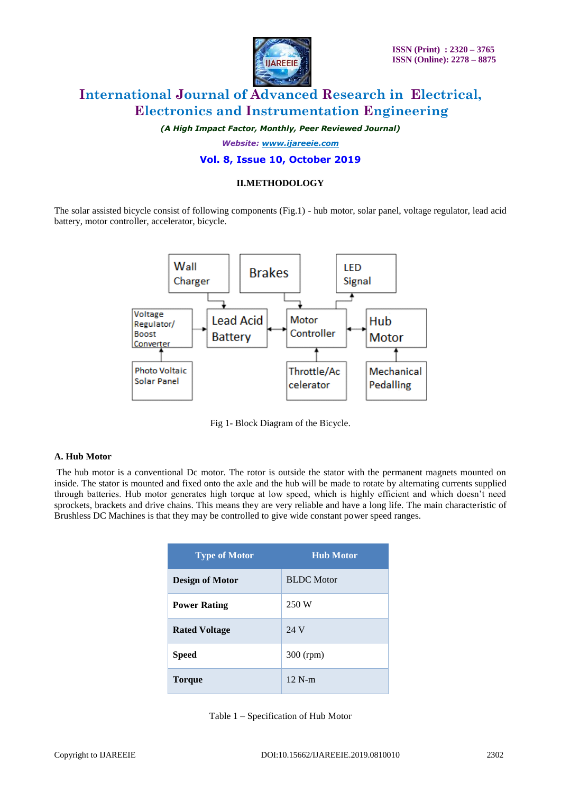

*(A High Impact Factor, Monthly, Peer Reviewed Journal)*

*Website: [www.ijareeie.com](http://www.ijareeie.com/)*

### **Vol. 8, Issue 10, October 2019**

### **II.METHODOLOGY**

The solar assisted bicycle consist of following components (Fig.1) - hub motor, solar panel, voltage regulator, lead acid battery, motor controller, accelerator, bicycle.



Fig 1- Block Diagram of the Bicycle.

#### **A. Hub Motor**

The hub motor is a conventional Dc motor. The rotor is outside the stator with the permanent magnets mounted on inside. The stator is mounted and fixed onto the axle and the hub will be made to rotate by alternating currents supplied through batteries. Hub motor generates high torque at low speed, which is highly efficient and which doesn't need sprockets, brackets and drive chains. This means they are very reliable and have a long life. The main characteristic of Brushless DC Machines is that they may be controlled to give wide constant power speed ranges.

| <b>Type of Motor</b>   | <b>Hub Motor</b>  |
|------------------------|-------------------|
| <b>Design of Motor</b> | <b>BLDC</b> Motor |
| <b>Power Rating</b>    | 250 W             |
| <b>Rated Voltage</b>   | 24 V              |
| <b>Speed</b>           | 300 (rpm)         |
| Torque                 | $12$ N-m          |

Table 1 – Specification of Hub Motor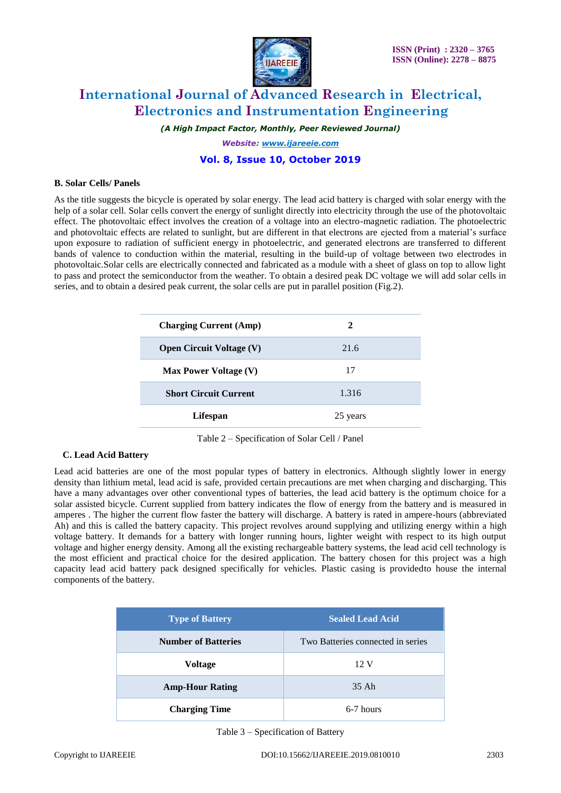

*(A High Impact Factor, Monthly, Peer Reviewed Journal)*

*Website: [www.ijareeie.com](http://www.ijareeie.com/)*

# **Vol. 8, Issue 10, October 2019**

#### **B. Solar Cells/ Panels**

As the title suggests the bicycle is operated by solar energy. The lead acid battery is charged with solar energy with the help of a solar cell. Solar cells convert the energy of sunlight directly into electricity through the use of the photovoltaic effect. The photovoltaic effect involves the creation of a voltage into an electro-magnetic radiation. The photoelectric and photovoltaic effects are related to sunlight, but are different in that electrons are ejected from a material's surface upon exposure to radiation of sufficient energy in photoelectric, and generated electrons are transferred to different bands of valence to conduction within the material, resulting in the build-up of voltage between two electrodes in photovoltaic.Solar cells are electrically connected and fabricated as a module with a sheet of glass on top to allow light to pass and protect the semiconductor from the weather. To obtain a desired peak DC voltage we will add solar cells in series, and to obtain a desired peak current, the solar cells are put in parallel position (Fig.2).

| <b>Charging Current (Amp)</b>   | 2        |
|---------------------------------|----------|
| <b>Open Circuit Voltage (V)</b> | 21.6     |
| <b>Max Power Voltage (V)</b>    | 17       |
| <b>Short Circuit Current</b>    | 1.316    |
| Lifespan                        | 25 years |

Table 2 – Specification of Solar Cell / Panel

#### **C. Lead Acid Battery**

Lead acid batteries are one of the most popular types of battery in electronics. Although slightly lower in energy density than lithium metal, lead acid is safe, provided certain precautions are met when charging and discharging. This have a many advantages over other conventional types of batteries, the lead acid battery is the optimum choice for a solar assisted bicycle. Current supplied from battery indicates the flow of energy from the battery and is measured in amperes . The higher the current flow faster the battery will discharge. A battery is rated in ampere-hours (abbreviated Ah) and this is called the battery capacity. This project revolves around supplying and utilizing energy within a high voltage battery. It demands for a battery with longer running hours, lighter weight with respect to its high output voltage and higher energy density. Among all the existing rechargeable battery systems, the lead acid cell technology is the most efficient and practical choice for the desired application. The battery chosen for this project was a high capacity lead acid battery pack designed specifically for vehicles. Plastic casing is providedto house the internal components of the battery.

| <b>Type of Battery</b>     | <b>Sealed Lead Acid</b>           |
|----------------------------|-----------------------------------|
| <b>Number of Batteries</b> | Two Batteries connected in series |
| <b>Voltage</b>             | 12 V                              |
| <b>Amp-Hour Rating</b>     | 35 Ah                             |
| <b>Charging Time</b>       | 6-7 hours                         |

Table 3 – Specification of Battery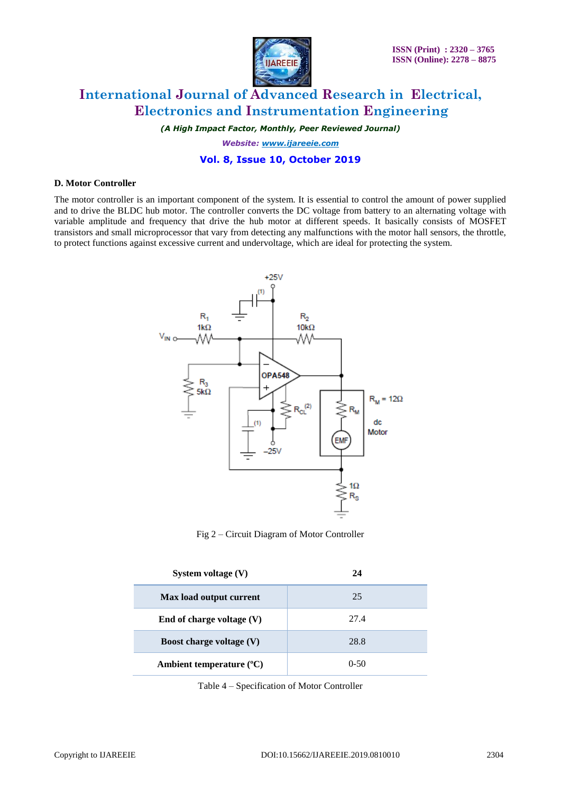

*(A High Impact Factor, Monthly, Peer Reviewed Journal)*

*Website: [www.ijareeie.com](http://www.ijareeie.com/)*

# **Vol. 8, Issue 10, October 2019**

#### **D. Motor Controller**

The motor controller is an important component of the system. It is essential to control the amount of power supplied and to drive the BLDC hub motor. The controller converts the DC voltage from battery to an alternating voltage with variable amplitude and frequency that drive the hub motor at different speeds. It basically consists of MOSFET transistors and small microprocessor that vary from detecting any malfunctions with the motor hall sensors, the throttle, to protect functions against excessive current and undervoltage, which are ideal for protecting the system.



Fig 2 – Circuit Diagram of Motor Controller

| System voltage $(V)$              | 24       |
|-----------------------------------|----------|
| Max load output current           | 25       |
| End of charge voltage $(V)$       | 27.4     |
| <b>Boost charge voltage (V)</b>   | 28.8     |
| Ambient temperature $(^{\circ}C)$ | $0 - 50$ |

Table 4 – Specification of Motor Controller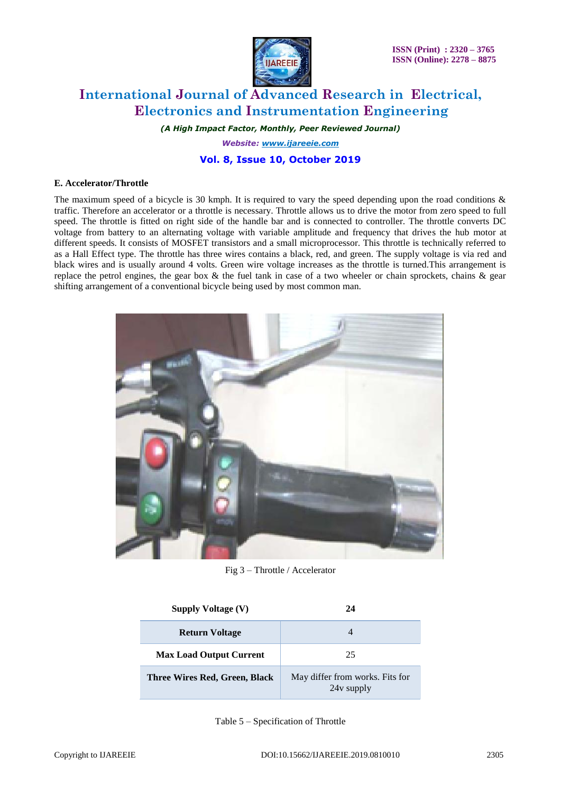

*(A High Impact Factor, Monthly, Peer Reviewed Journal)*

*Website: [www.ijareeie.com](http://www.ijareeie.com/)*

# **Vol. 8, Issue 10, October 2019**

### **E. Accelerator/Throttle**

The maximum speed of a bicycle is 30 kmph. It is required to vary the speed depending upon the road conditions  $\&$ traffic. Therefore an accelerator or a throttle is necessary. Throttle allows us to drive the motor from zero speed to full speed. The throttle is fitted on right side of the handle bar and is connected to controller. The throttle converts DC voltage from battery to an alternating voltage with variable amplitude and frequency that drives the hub motor at different speeds. It consists of MOSFET transistors and a small microprocessor. This throttle is technically referred to as a Hall Effect type. The throttle has three wires contains a black, red, and green. The supply voltage is via red and black wires and is usually around 4 volts. Green wire voltage increases as the throttle is turned.This arrangement is replace the petrol engines, the gear box  $\&$  the fuel tank in case of a two wheeler or chain sprockets, chains  $\&$  gear shifting arrangement of a conventional bicycle being used by most common man.



Fig 3 – Throttle / Accelerator

| <b>Supply Voltage (V)</b>      | 24                                            |
|--------------------------------|-----------------------------------------------|
| <b>Return Voltage</b>          |                                               |
| <b>Max Load Output Current</b> | 25                                            |
| Three Wires Red, Green, Black  | May differ from works. Fits for<br>24y supply |

Table 5 – Specification of Throttle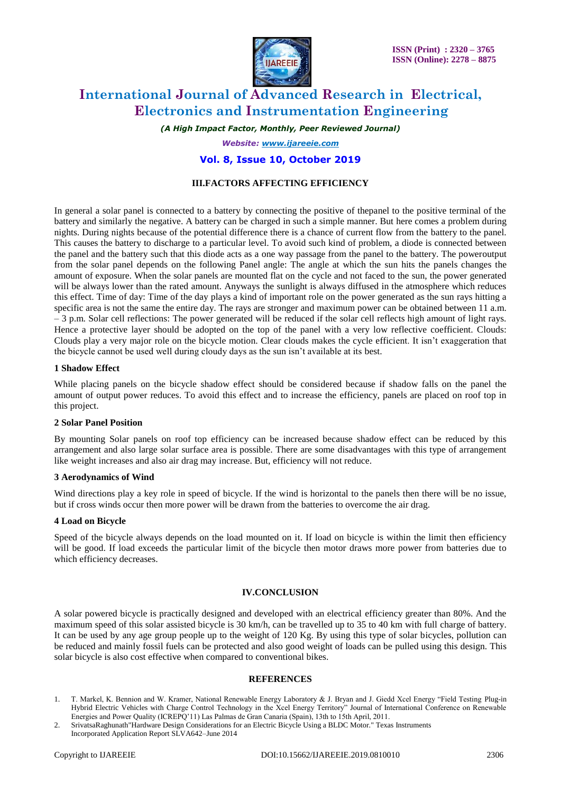

*(A High Impact Factor, Monthly, Peer Reviewed Journal)*

*Website: [www.ijareeie.com](http://www.ijareeie.com/)*

### **Vol. 8, Issue 10, October 2019**

### **III.FACTORS AFFECTING EFFICIENCY**

In general a solar panel is connected to a battery by connecting the positive of thepanel to the positive terminal of the battery and similarly the negative. A battery can be charged in such a simple manner. But here comes a problem during nights. During nights because of the potential difference there is a chance of current flow from the battery to the panel. This causes the battery to discharge to a particular level. To avoid such kind of problem, a diode is connected between the panel and the battery such that this diode acts as a one way passage from the panel to the battery. The poweroutput from the solar panel depends on the following Panel angle: The angle at which the sun hits the panels changes the amount of exposure. When the solar panels are mounted flat on the cycle and not faced to the sun, the power generated will be always lower than the rated amount. Anyways the sunlight is always diffused in the atmosphere which reduces this effect. Time of day: Time of the day plays a kind of important role on the power generated as the sun rays hitting a specific area is not the same the entire day. The rays are stronger and maximum power can be obtained between 11 a.m. – 3 p.m. Solar cell reflections: The power generated will be reduced if the solar cell reflects high amount of light rays. Hence a protective layer should be adopted on the top of the panel with a very low reflective coefficient. Clouds: Clouds play a very major role on the bicycle motion. Clear clouds makes the cycle efficient. It isn't exaggeration that the bicycle cannot be used well during cloudy days as the sun isn't available at its best.

#### **1 Shadow Effect**

While placing panels on the bicycle shadow effect should be considered because if shadow falls on the panel the amount of output power reduces. To avoid this effect and to increase the efficiency, panels are placed on roof top in this project.

#### **2 Solar Panel Position**

By mounting Solar panels on roof top efficiency can be increased because shadow effect can be reduced by this arrangement and also large solar surface area is possible. There are some disadvantages with this type of arrangement like weight increases and also air drag may increase. But, efficiency will not reduce.

#### **3 Aerodynamics of Wind**

Wind directions play a key role in speed of bicycle. If the wind is horizontal to the panels then there will be no issue, but if cross winds occur then more power will be drawn from the batteries to overcome the air drag.

### **4 Load on Bicycle**

Speed of the bicycle always depends on the load mounted on it. If load on bicycle is within the limit then efficiency will be good. If load exceeds the particular limit of the bicycle then motor draws more power from batteries due to which efficiency decreases.

### **IV.CONCLUSION**

A solar powered bicycle is practically designed and developed with an electrical efficiency greater than 80%. And the maximum speed of this solar assisted bicycle is 30 km/h, can be travelled up to 35 to 40 km with full charge of battery. It can be used by any age group people up to the weight of 120 Kg. By using this type of solar bicycles, pollution can be reduced and mainly fossil fuels can be protected and also good weight of loads can be pulled using this design. This solar bicycle is also cost effective when compared to conventional bikes.

#### **REFERENCES**

<sup>1.</sup> T. Markel, K. Bennion and W. Kramer, National Renewable Energy Laboratory & J. Bryan and J. Giedd Xcel Energy "Field Testing Plug-in Hybrid Electric Vehicles with Charge Control Technology in the Xcel Energy Territory" Journal of International Conference on Renewable Energies and Power Quality (ICREPQ'11) Las Palmas de Gran Canaria (Spain), 13th to 15th April, 2011.

<sup>2.</sup> SrivatsaRaghunath"Hardware Design Considerations for an Electric Bicycle Using a BLDC Motor." Texas Instruments Incorporated Application Report SLVA642–June 2014